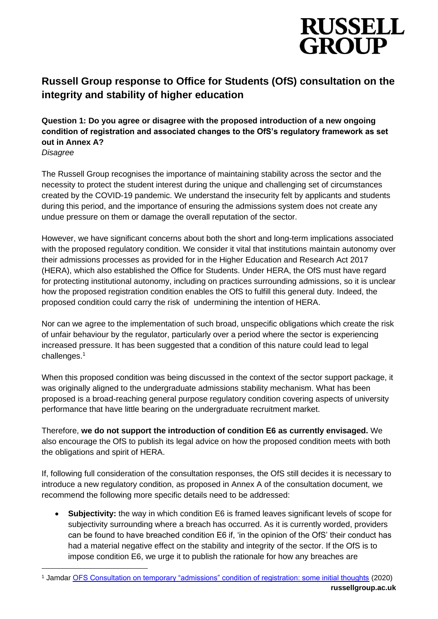

# **Russell Group response to Office for Students (OfS) consultation on the integrity and stability of higher education**

**Question 1: Do you agree or disagree with the proposed introduction of a new ongoing condition of registration and associated changes to the OfS's regulatory framework as set out in Annex A?** 

*Disagree*

The Russell Group recognises the importance of maintaining stability across the sector and the necessity to protect the student interest during the unique and challenging set of circumstances created by the COVID-19 pandemic. We understand the insecurity felt by applicants and students during this period, and the importance of ensuring the admissions system does not create any undue pressure on them or damage the overall reputation of the sector.

However, we have significant concerns about both the short and long-term implications associated with the proposed regulatory condition. We consider it vital that institutions maintain autonomy over their admissions processes as provided for in the Higher Education and Research Act 2017 (HERA), which also established the Office for Students. Under HERA, the OfS must have regard for protecting institutional autonomy, including on practices surrounding admissions, so it is unclear how the proposed registration condition enables the OfS to fulfill this general duty. Indeed, the proposed condition could carry the risk of undermining the intention of HERA.

Nor can we agree to the implementation of such broad, unspecific obligations which create the risk of unfair behaviour by the regulator, particularly over a period where the sector is experiencing increased pressure. It has been suggested that a condition of this nature could lead to legal challenges.<sup>1</sup>

When this proposed condition was being discussed in the context of the sector support package, it was originally aligned to the undergraduate admissions stability mechanism. What has been proposed is a broad-reaching general purpose regulatory condition covering aspects of university performance that have little bearing on the undergraduate recruitment market.

Therefore, **we do not support the introduction of condition E6 as currently envisaged.** We also encourage the OfS to publish its legal advice on how the proposed condition meets with both the obligations and spirit of HERA.

If, following full consideration of the consultation responses, the OfS still decides it is necessary to introduce a new regulatory condition, as proposed in Annex A of the consultation document, we recommend the following more specific details need to be addressed:

• **Subjectivity:** the way in which condition E6 is framed leaves significant levels of scope for subjectivity surrounding where a breach has occurred. As it is currently worded, providers can be found to have breached condition E6 if, 'in the opinion of the OfS' their conduct has had a material negative effect on the stability and integrity of the sector. If the OfS is to impose condition E6, we urge it to publish the rationale for how any breaches are

**russellgroup.ac.uk** <sup>1</sup> Jamdar [OFS Consultation on temporary "admissions" condition of registration: some initial thoughts](https://www.shma.co.uk/our-thoughts/ofs-consultation-on-temporary-admissions-condition-of-registration-some-initial-thoughts/) (2020)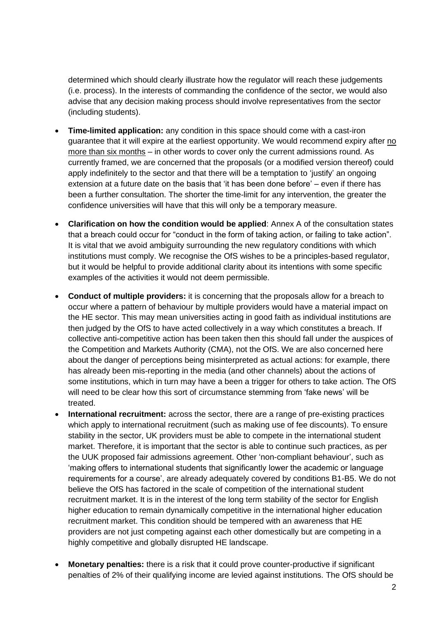determined which should clearly illustrate how the regulator will reach these judgements (i.e. process). In the interests of commanding the confidence of the sector, we would also advise that any decision making process should involve representatives from the sector (including students).

- **Time-limited application:** any condition in this space should come with a cast-iron guarantee that it will expire at the earliest opportunity. We would recommend expiry after no more than six months – in other words to cover only the current admissions round. As currently framed, we are concerned that the proposals (or a modified version thereof) could apply indefinitely to the sector and that there will be a temptation to 'justify' an ongoing extension at a future date on the basis that 'it has been done before' – even if there has been a further consultation. The shorter the time-limit for any intervention, the greater the confidence universities will have that this will only be a temporary measure.
- **Clarification on how the condition would be applied**: Annex A of the consultation states that a breach could occur for "conduct in the form of taking action, or failing to take action". It is vital that we avoid ambiguity surrounding the new regulatory conditions with which institutions must comply. We recognise the OfS wishes to be a principles-based regulator, but it would be helpful to provide additional clarity about its intentions with some specific examples of the activities it would not deem permissible.
- **Conduct of multiple providers:** it is concerning that the proposals allow for a breach to occur where a pattern of behaviour by multiple providers would have a material impact on the HE sector. This may mean universities acting in good faith as individual institutions are then judged by the OfS to have acted collectively in a way which constitutes a breach. If collective anti-competitive action has been taken then this should fall under the auspices of the Competition and Markets Authority (CMA), not the OfS. We are also concerned here about the danger of perceptions being misinterpreted as actual actions: for example, there has already been mis-reporting in the media (and other channels) about the actions of some institutions, which in turn may have a been a trigger for others to take action. The OfS will need to be clear how this sort of circumstance stemming from 'fake news' will be treated.
- **International recruitment:** across the sector, there are a range of pre-existing practices which apply to international recruitment (such as making use of fee discounts). To ensure stability in the sector, UK providers must be able to compete in the international student market. Therefore, it is important that the sector is able to continue such practices, as per the UUK proposed fair admissions agreement. Other 'non-compliant behaviour', such as 'making offers to international students that significantly lower the academic or language requirements for a course', are already adequately covered by conditions B1-B5. We do not believe the OfS has factored in the scale of competition of the international student recruitment market. It is in the interest of the long term stability of the sector for English higher education to remain dynamically competitive in the international higher education recruitment market. This condition should be tempered with an awareness that HE providers are not just competing against each other domestically but are competing in a highly competitive and globally disrupted HE landscape.
- **Monetary penalties:** there is a risk that it could prove counter-productive if significant penalties of 2% of their qualifying income are levied against institutions. The OfS should be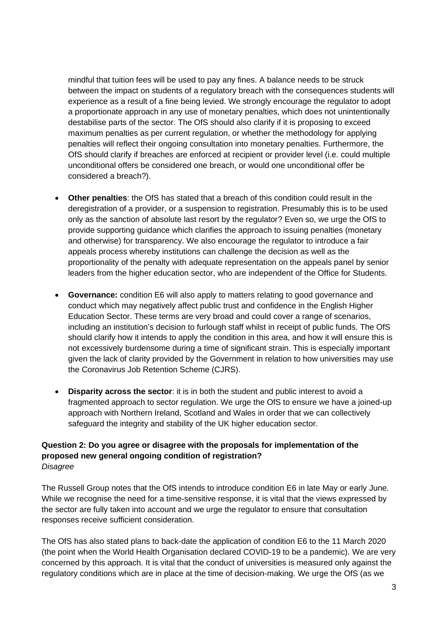mindful that tuition fees will be used to pay any fines. A balance needs to be struck between the impact on students of a regulatory breach with the consequences students will experience as a result of a fine being levied. We strongly encourage the regulator to adopt a proportionate approach in any use of monetary penalties, which does not unintentionally destabilise parts of the sector. The OfS should also clarify if it is proposing to exceed maximum penalties as per current regulation, or whether the methodology for applying penalties will reflect their ongoing consultation into monetary penalties. Furthermore, the OfS should clarify if breaches are enforced at recipient or provider level (i.e. could multiple unconditional offers be considered one breach, or would one unconditional offer be considered a breach?).

- **Other penalties**: the OfS has stated that a breach of this condition could result in the deregistration of a provider, or a suspension to registration. Presumably this is to be used only as the sanction of absolute last resort by the regulator? Even so, we urge the OfS to provide supporting guidance which clarifies the approach to issuing penalties (monetary and otherwise) for transparency. We also encourage the regulator to introduce a fair appeals process whereby institutions can challenge the decision as well as the proportionality of the penalty with adequate representation on the appeals panel by senior leaders from the higher education sector, who are independent of the Office for Students.
- **Governance:** condition E6 will also apply to matters relating to good governance and conduct which may negatively affect public trust and confidence in the English Higher Education Sector. These terms are very broad and could cover a range of scenarios, including an institution's decision to furlough staff whilst in receipt of public funds. The OfS should clarify how it intends to apply the condition in this area, and how it will ensure this is not excessively burdensome during a time of significant strain. This is especially important given the lack of clarity provided by the Government in relation to how universities may use the Coronavirus Job Retention Scheme (CJRS).
- **Disparity across the sector**: it is in both the student and public interest to avoid a fragmented approach to sector regulation. We urge the OfS to ensure we have a joined-up approach with Northern Ireland, Scotland and Wales in order that we can collectively safeguard the integrity and stability of the UK higher education sector.

#### **Question 2: Do you agree or disagree with the proposals for implementation of the proposed new general ongoing condition of registration?**  *Disagree*

The Russell Group notes that the OfS intends to introduce condition E6 in late May or early June. While we recognise the need for a time-sensitive response, it is vital that the views expressed by the sector are fully taken into account and we urge the regulator to ensure that consultation responses receive sufficient consideration.

The OfS has also stated plans to back-date the application of condition E6 to the 11 March 2020 (the point when the World Health Organisation declared COVID-19 to be a pandemic). We are very concerned by this approach. It is vital that the conduct of universities is measured only against the regulatory conditions which are in place at the time of decision-making. We urge the OfS (as we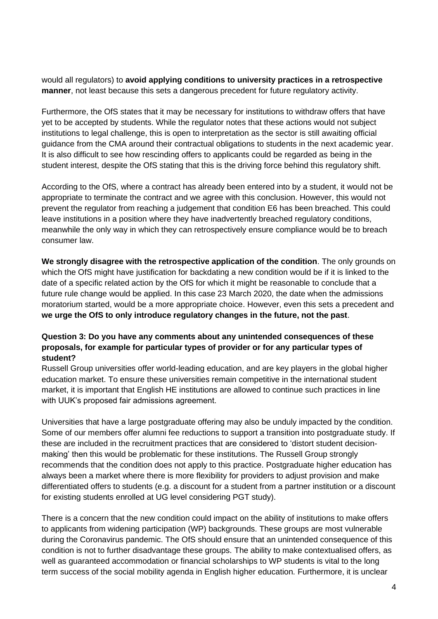would all regulators) to **avoid applying conditions to university practices in a retrospective manner**, not least because this sets a dangerous precedent for future regulatory activity.

Furthermore, the OfS states that it may be necessary for institutions to withdraw offers that have yet to be accepted by students. While the regulator notes that these actions would not subject institutions to legal challenge, this is open to interpretation as the sector is still awaiting official guidance from the CMA around their contractual obligations to students in the next academic year. It is also difficult to see how rescinding offers to applicants could be regarded as being in the student interest, despite the OfS stating that this is the driving force behind this regulatory shift.

According to the OfS, where a contract has already been entered into by a student, it would not be appropriate to terminate the contract and we agree with this conclusion. However, this would not prevent the regulator from reaching a judgement that condition E6 has been breached. This could leave institutions in a position where they have inadvertently breached regulatory conditions, meanwhile the only way in which they can retrospectively ensure compliance would be to breach consumer law.

**We strongly disagree with the retrospective application of the condition**. The only grounds on which the OfS might have justification for backdating a new condition would be if it is linked to the date of a specific related action by the OfS for which it might be reasonable to conclude that a future rule change would be applied. In this case 23 March 2020, the date when the admissions moratorium started, would be a more appropriate choice. However, even this sets a precedent and **we urge the OfS to only introduce regulatory changes in the future, not the past**.

## **Question 3: Do you have any comments about any unintended consequences of these proposals, for example for particular types of provider or for any particular types of student?**

Russell Group universities offer world-leading education, and are key players in the global higher education market. To ensure these universities remain competitive in the international student market, it is important that English HE institutions are allowed to continue such practices in line with UUK's proposed fair admissions agreement.

Universities that have a large postgraduate offering may also be unduly impacted by the condition. Some of our members offer alumni fee reductions to support a transition into postgraduate study. If these are included in the recruitment practices that are considered to 'distort student decisionmaking' then this would be problematic for these institutions. The Russell Group strongly recommends that the condition does not apply to this practice. Postgraduate higher education has always been a market where there is more flexibility for providers to adjust provision and make differentiated offers to students (e.g. a discount for a student from a partner institution or a discount for existing students enrolled at UG level considering PGT study).

There is a concern that the new condition could impact on the ability of institutions to make offers to applicants from widening participation (WP) backgrounds. These groups are most vulnerable during the Coronavirus pandemic. The OfS should ensure that an unintended consequence of this condition is not to further disadvantage these groups. The ability to make contextualised offers, as well as guaranteed accommodation or financial scholarships to WP students is vital to the long term success of the social mobility agenda in English higher education. Furthermore, it is unclear